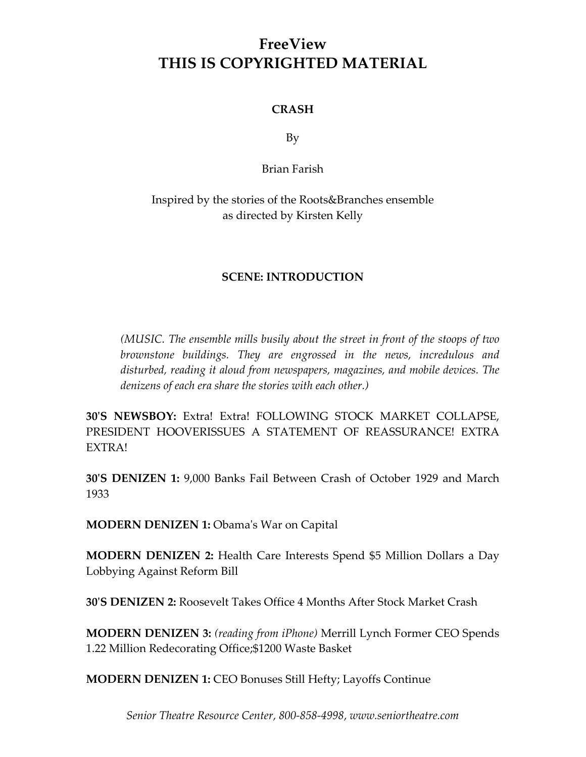## **FreeView THIS IS COPYRIGHTED MATERIAL**

#### **CRASH**

By

Brian Farish

### Inspired by the stories of the Roots&Branches ensemble as directed by Kirsten Kelly

#### **SCENE: INTRODUCTION**

*(MUSIC. The ensemble mills busily about the street in front of the stoops of two brownstone buildings. They are engrossed in the news, incredulous and disturbed, reading it aloud from newspapers, magazines, and mobile devices. The denizens of each era share the stories with each other.)*

**30ʹS NEWSBOY:** Extra! Extra! FOLLOWING STOCK MARKET COLLAPSE, PRESIDENT HOOVERISSUES A STATEMENT OF REASSURANCE! EXTRA EXTRA!

**30ʹS DENIZEN 1:** 9,000 Banks Fail Between Crash of October 1929 and March 1933

**MODERN DENIZEN 1:** Obamaʹs War on Capital

**MODERN DENIZEN 2:** Health Care Interests Spend \$5 Million Dollars a Day Lobbying Against Reform Bill

**30ʹS DENIZEN 2:** Roosevelt Takes Office 4 Months After Stock Market Crash

**MODERN DENIZEN 3:** *(reading from iPhone)* Merrill Lynch Former CEO Spends 1.22 Million Redecorating Office;\$1200 Waste Basket

**MODERN DENIZEN 1:** CEO Bonuses Still Hefty; Layoffs Continue

*Senior Theatre Resource Center, 800-858-4998, www.seniortheatre.com*